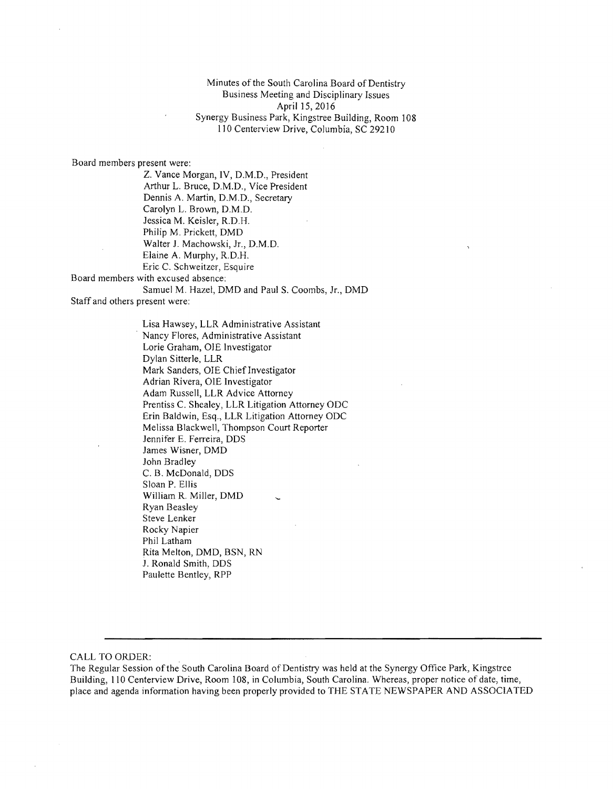Minutes of the South Carolina Board of Dentistry Business Meeting and Disciplinary Issues April IS, 2016 Synergy Business Park, Kingstree Building, Room 108 110 Centerview Drive, Columbia, SC 29210

Board members present were:

Z. Vance Morgan, IV, D.M.D., President Arthur L. Bruce, D.M.D., Vice President Dennis A. Martin, D.M.D., Secretary Carolyn L. Brown, D.M.D. lessica M. Keisler, R.D.B. Philip M. Prickett, DMD Walter J. Machowski, Jr., D.M.D. Elaine A. Murphy, R.D.H. Eric C. Schweitzer, Esquire Board members with excused absence: Samuel M. Hazel, DMD and Paul S. Coombs, Jr., DMD

Staff and others present were:

Lisa Hawsey, LLR Administrative Assistant . Nancy Flores, Administrative Assistant Lorie Graham, OlE Investigator Dylan Sitterle, LLR Mark Sanders, OIE Chief Investigator Adrian Rivera, OlE Investigator Adam Russell, LLR Advice Attorney Prentiss C. Shealey, LLR Litigation Attorney ODC Erin Baldwin, Esq., LLR Litigation Attorney ODC Melissa Blackwell, Thompson Court Reporter Jennifer E. Ferreira, DDS James Wisner, DMD John Bradley C. B. McDonald, DDS Sloan P. Ellis William R. Miller, DMD Ryan Beasley Steve Lenker Rocky Napier Phil Latham Rita Melton, DMD, BSN, RN J. Ronald Smith, DDS Paulette Bentley, RPP

CALL TO ORDER:

The Regular Session ofthe South Carolina Board of Dentistry was held at the Synergy Office Park, Kingstree Building, 110 Centerview Drive, Room 108, in Columbia, South Carolina. Whereas, proper notice of date, time, place and agenda information having been properly provided to THE STATE NEWSPAPER AND ASSOCIATED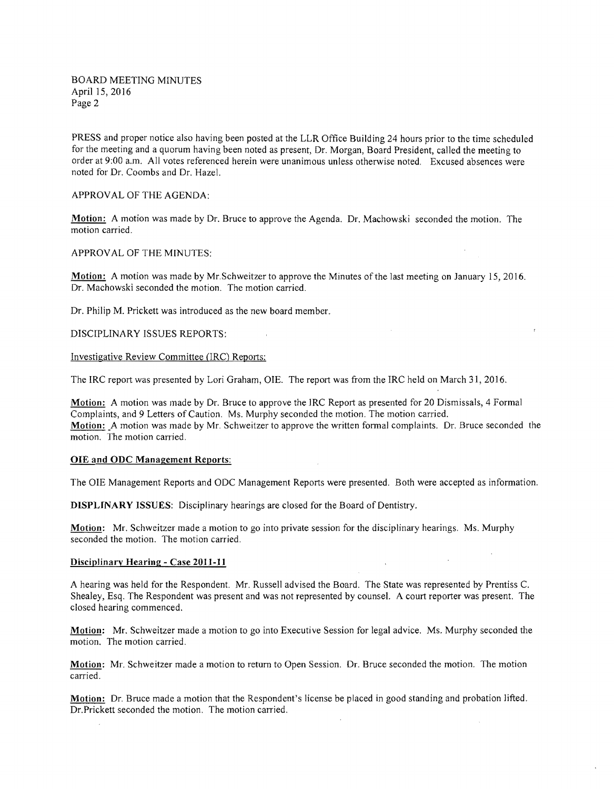BOARD MEETING MINUTES April 15,2016 Page 2

PRESS and proper notice also having been posted at the LLR Office Building 24 hours prior to the time scheduled for the meeting and a quorum having been noted as present, Dr. Morgan, Board President, called the meeting to order at 9:00 a.m. All votes referenced herein were unanimous unless otherwise noted. Excused absences were noted for Dr. Coombs and Dr. Hazel.

## APPROVAL OF THE AGENDA:

Motion: A motion was made by Dr. Bruce to approve the Agenda. Dr. Machowski seconded the motion. The motion carried.

#### APPROV AL OF THE MINUTES:

Motion: A motion was made by Mr.Schweitzer to approve the Minutes of the last meeting on January 15, 2016. Dr. Machowski seconded the motion. The motion carried.

Dr. Philip M. Prickett was introduced as the new board member.

DISCIPLINARY ISSUES REPORTS:

#### Investigative Review Committee (IRC) Reports:

The IRC report was presented by Lori Graham, OlE. The report was from the IRC held on March 31,2016.

**Motion:** A motion was made by Dr. Bruce to approve the IRC Report as presented for 20 Dismissals, 4 Formal Complaints, and 9 Letters of Caution. Ms. Murphy seconded the motion. The motion carried. **Motion:** A motion was made by Mr. Schweitzer to approve the written formal complaints. Dr. Bruce seconded the motion. The motion carried.

## OlE and ODC Management Reports:

The OlE Management Reports and ODC Management Reports were presented. Both were accepted as information.

DISPLINARY ISSUES: Disciplinary hearings are closed for the Board of Dentistry.

Motion: Mr. Schweitzer made a motion to go into private session for the disciplinary hearings. Ms. Murphy seconded the motion. The motion carried.

### Disciplinary Hearing - Case 2011-11

A hearing was held for the Respondent. Mr. Russell advised the Board. The State was represented by Prentiss C. Shealey, Esq. The Respondent was present and was not represented by counsel. A court reporter was present. The closed hearing commenced.

**Motion:** Mr. Schweitzer made a motion to go into Executive Session for legal advice. Ms. Murphy seconded the motion. The motion carried.

Motion: Mr. Schweitzer made a motion to return to Open Session. Dr. Bruce seconded the motion. The motion carried.

Motion: Dr. Bruce made a motion that the Respondent's license be placed in good standing and probation lifted. Dr.Prickett seconded the motion. The motion carried.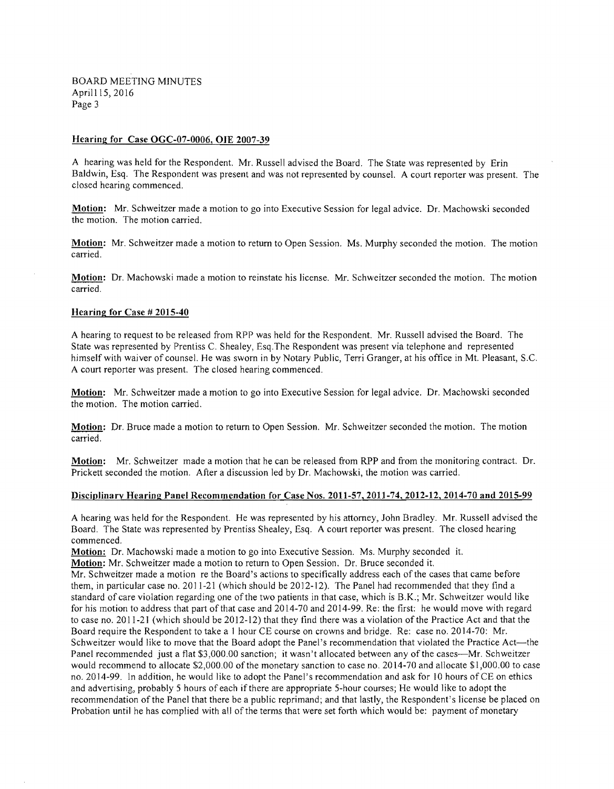BOARD MEETING MINUTES April 15, 2016 Page 3

#### Hearing for Case OGC-07-0006, OlE 2007-39

A hearing was held for the Respondent. Mr. Russell advised the Board. The State was represented by Erin Baldwin, Esq. The Respondent was present and was not represented by counsel. A court reporter was present. The closed hearing commenced.

Motion: Mr. Schweitzer made a motion to go into Executive Session for legal advice. Dr. Machowski seconded the motion. The motion carried.

Motion: Mr. Schweitzer made a motion to return to Open Session. Ms. Murphy seconded the motion. The motion carried.

Motion: Dr. Machowski made a motion to reinstate his license. Mr. Schweitzer seconded the motion. The motion carried.

#### Hearing for Case # 2015-40

A hearing to request to be released from RPP was held for the Respondent. Mr. Russell advised the Board. The State was represented by Prentiss C. Shealey, Esq.The Respondent was present via telephone and represented himself with waiver of counsel. He was sworn in by Notary Public, Terri Granger, at his office in Mt. Pleasant, S.c. A court reporter was present. The closed hearing commenced.

Motion: Mr. Schweitzer made a motion to go into Executive Session for legal advice. Dr. Machowski seconded the motion. The motion carried.

Motion: Dr. Bruce made a motion to return to Open Session. *Mr.* Schweitzer seconded the motion. The motion carried.

Motion: Mr. Schweitzer made a motion that he can be released from RPP and from the monitoring contract. Dr. Prickett seconded the motion. After a discussion led by Dr. Machowski, the motion was carried.

#### Disciplinarv Hearing Panel Recommendation for Case Nos. 2011-57,2011-74,2012-12,2014-70 and 2015-99

A hearing was held for the Respondent. He was represented by his attorney, John Bradley. Mr. Russell advised the Board. The State was represented by Prentiss Shealey, Esq. A court reporter was present. The closed hearing commenced.

Motion: Dr. Machowski made a motion to go into Executive Session. Ms. Murphy seconded it.

Motion: Mr. Schweitzer made a motion to return to Open Session. Dr. Bruce seconded it.

Mr. Schweitzer made a motion re the Board's actions to specifically address each of the cases that came before them, in particular case no. 2011-21 (which should be 2012-12). The Panel had recommended that they find a standard of care violation regarding one of the two patients in that case, which is B.K.; Mr. Schweitzer would like for his motion to address that part of that case and 2014-70 and 2014-99. Re: the first: he would move with regard to case no. 2011-21 (which should be 2012-12) that they find there was a violation of the Practice Act and that the Board require the Respondent to take a 1 hour CE course on crowns and bridge. Re: case no. 2014-70: Mr. Schweitzer would like to move that the Board adopt the Panel's recommendation that violated the Practice Act—the Panel recommended just a flat \$3,000.00 sanction; it wasn't allocated between any of the cases---Mr. Schweitzer would recommend to allocate \$2,000.00 of the monetary sanction to case no. 2014-70 and allocate \$1,000.00 to case no. 2014-99. In addition, he would like to adopt the Panel's recommendation and ask for 10 hours ofCE on ethics and advertising, probably S hours of each if there are appropriate S-hour courses; He would like to adopt the recommendation ofthe Panel that there be a public reprimand; and that lastly, the Respondent's license be placed on Probation until he has complied with all of the terms that were set forth which would be: payment of monetary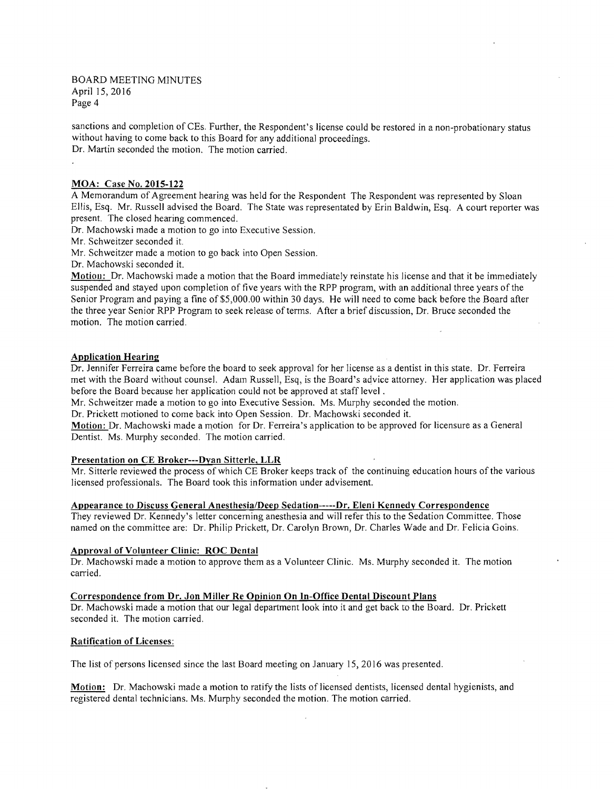BOARD MEETING MINUTES April 15,2016 Page 4

sanctions and completion of CEs. Further, the Respondent's license could be restored in a non-probationary status without having to come back to this Board for any additional proceedings. Dr. Martin seconded the motion. The motion carried.

### MOA: Case No. 2015-122

 A Memorandum of Agreement hearing was held for the Respondent The Respondent was represented by Sloan Ellis, Esq. Mr. Russell advised the Board. The State was representated by Erin Baldwin, Esq. A court reporter was present. The closed hearing commenced.

Dr. Machowski made a motion to go into Executive Session.

Mr. Schweitzer seconded it.

Mr. Schweitzer made a motion to go back into Open Session.

Dr. Machowski seconded it.

Motion: Dr. Machowski made a motion that the Board immediately reinstate his license and that it be immediately suspended and stayed upon completion of five years with the RPP program, with an additional three years of the Senior Program and paying a fine of\$5,000.00 within 30 days. He will need to come back before the Board after the three year Senior RPP Program to seek release of terms. After a brief discussion, Dr. Bruce seconded the motion. The motion carried.

#### Application Hearing

Dr. Jennifer Ferreira came before the board to seek approval for her license as a dentist in this state. Dr. Ferreira met with the Board without counsel. Adam Russell, Esq, is the Board's aqvice attorney. Her application was placed before the Board because her application could not be approved at staff level.

Mr. Schweitzer made a motion to go into Executive Session. Ms. Murphy seconded the motion.

Dr. Prickett motioned to come back into Open Session. Dr. Machowski seconded it.

Motion: Dr. Machowski made a motion for Dr. Ferreira's application to be approved for licensure as a General Dentist. Ms. Murphy seconded. The motion carried.

## Presentation on CE Broker---Dyan Sitterle, LLR

 Mr. Sitterle reviewed the process of which CE Broker keeps track of the continuing education hours of the various licensed professionals. The Board took this information under advisement.

## Appearance to Discuss General Anesthesia/Deep Sedation-----Dr. Eleni Kennedy Correspondence

They reviewed Dr. Kennedy's letter concerning anesthesia and will refer this to the Sedation Committee. Those named on the committee are: Dr. Philip Prickett, Dr. Carolyn Brown, Dr. Charles Wade and Dr. Felicia Goins.

## Approval of Volunteer Clinic: ROC Dental

Dr. Machowski made a motion to approve them as a Volunteer Clinic. Ms. Murphy seconded it. The motion carried.

# Correspondence from Dr. Jon Miller Re Opinion On In-Office Dental Discount Plans

Dr. Machowski made a motion that our legal department look into it and get back to the Board. Dr. Prickett seconded it. The motion carried.

#### Ratification of Licenses:

The list of persons licensed since the last Board meeting on January 15, 2016 was presented.

Motion: Dr. Machowski made a motion to ratify the lists of licensed dentists, licensed dental hygienists, and registered dental technicians. Ms. Murphy seconded the motion. The motion carried.